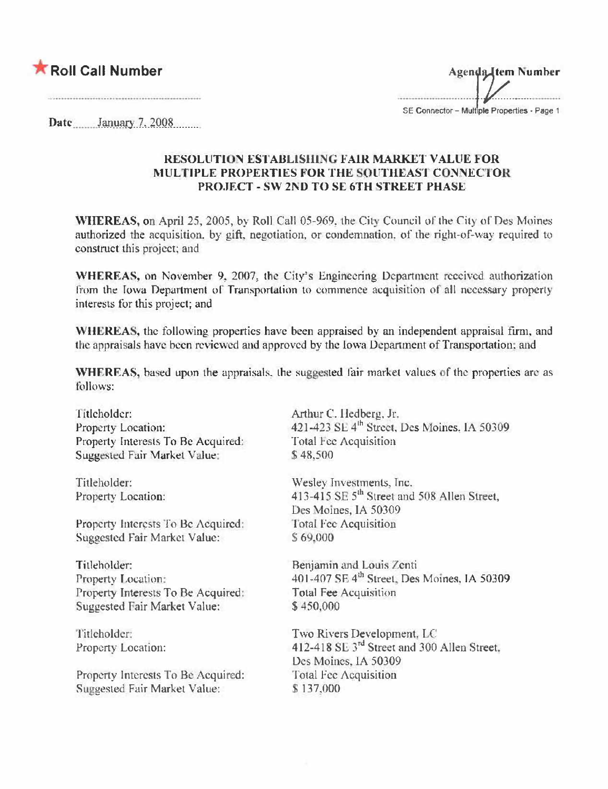## Roll Call Number

**Agenda Item Number** SE Connector - Multiple Properties - Page 1

Date January 7, 2008

## RESOLUTION ESTABLISHING FAIR MARKET VALUE FOR **MULTIPLE PROPERTIES FOR THE SOUTHEAST CONNECTOR** PROJECT - SW 2ND TO SE 6TH STREET PHASE

WHEREAS, on April 25, 2005, by Roll Call 05-969, the City Council of the City of Des Moines authorized the acquisition, by gift, negotiation, or condemnation, of the right-of-way required to construct this project; and

WHEREAS, on November 9, 2007, the City's Engineering Department received authorization from the Iowa Department of Transportation to commence acquisition of all necessary property interests for this project; and

WHEREAS, the following properties have been appraised by an independent appraisal firm, and the appraisals have been reviewed and approved by the Iowa Department of Transportation; and

WHEREAS, based upon the appraisals, the suggested fair market values of the properties are as follows:

Titleholder: Property Location: Property Interests To Be Acquired: Suggested Fair Market Value;

Titleholder: Property Location:

Property Interests To Be Acquired: Suggested Fair Market Value:

Titleholder: Property Location: Property Interests To Be Acquired: Suggested Fair Market Value:

Titleholder: Property Location:

Property Interests To Be Acquired: Suggested Fair Market Value:

Arthur C. Hedberg, Jr. 421-423 SE 4<sup>th</sup> Street, Des Moines. 1A 50309 Total Fee Acquisition \$48,500

Wesley Investments, Inc. 413-415 SE 5<sup>th</sup> Street and 508 Allen Street, Des Moines, IA 50309 **Total Fee Acquisition** \$69,000

Benjamin and Louis Zenti 401-407 SE 4<sup>th</sup> Street, Des Moines, IA 50309 Total Fee Acquisition \$450,000

Two Rivers Development, LC 412-418 SE 3<sup>rd</sup> Street and 300 Allen Street. Des Moines, IA 50309 **Total Fee Acquisition** \$137,000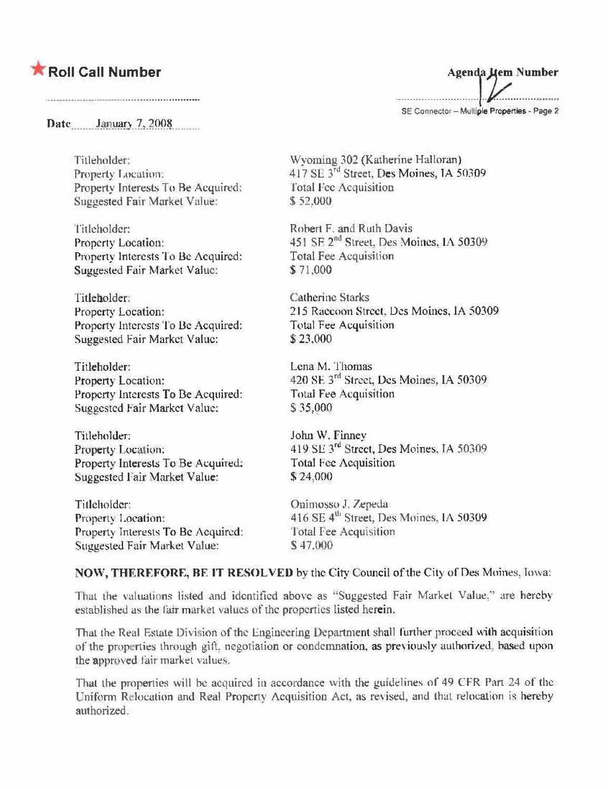## **K** Roll Call Number

Date January 7, 2008

Titleholder: Property Location: Property Interests To Be Acquired: Suggested Fair Market Value:

Titleholder: Property Location: Property Interests To Be Acquired: Suggested Fair Market Value:

Titleholder: Property Location: Property Interests To Be Acquired: **Suggested Fair Market Value:** 

Titleholder: Property Location: Property Interests To Be Acquired: Suggested Fair Market Value:

Titleholder: Property Location: Property Interests To Be Acquired: Suggested Fair Market Value:

Titleholder: Property Location: Property Interests To Be Acquired: Suggested Fair Market Value:

Agenda Hem Number

SE Connector - Multiple Properties - Page 2

Wyoming 302 (Katherine Halloran)<br>417 SL 3<sup>rd</sup> Street, Des Moines, IA 50309 **Total Fee Acquisition** \$52,000

Robert F. and Ruth Davis 451 SE 2<sup>nd</sup> Street, Des Moines, IA 50309 **Total Fee Acquisition** \$71,000

**Catherine Starks** 215 Raecoon Street, Des Moines, IA 50309 Total Fee Acquisition \$23,000

Lena M. Thomas 420 SE 3rd Street, Des Moines, IA 50309 **Total Fee Acquisition** \$35,000

John W. Finney 419 SE 3rd Street, Des Moines, JA 50309 **Total Fee Acquisition**  $$24,000$ 

Onimosso J. Zepeda 416 SE 4<sup>th</sup> Street, Des Moines, IA 50309 Total Fee Acquisition S 47,000

## NOW, THEREFORE, BE IT RESOLVED by the City Council of the City of Des Moines, Iowa:

That the valuations listed and identified above as "Suggested Fair Market Value," are hereby established as the fair market values of the properties listed herein.

That the Real Estate Division of the Engineering Department shall further proceed with acquisition of the properties through gift, negotiation or condemnation, as previously authorized, based upon the approved fair market values.

That the properties will be acquired in accordance with the guidelines of 49 CFR Part 24 of the Uniform Relocation and Real Property Acquisition Act, as revised, and that relocation is hereby authorized.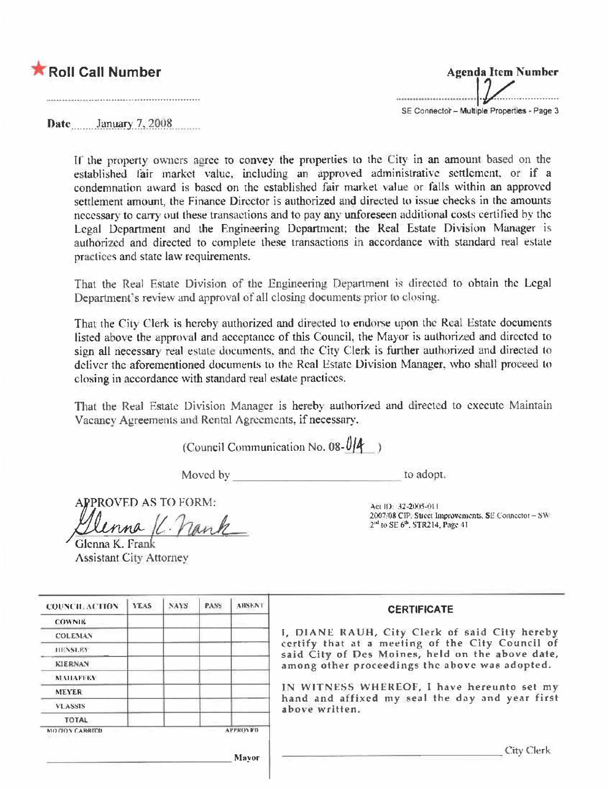



Date January 7, 2008

If the property owners agree to convey the properties to the City in an amount based on the established fair market value, including an approved administrative settlement, or if a condemnation award is based on the established fair market value or falls within an approved settlement amount, the Finance Director is authorized and directed to issue checks in the amounts necessary to carry out these transactions and to pay any unforeseen additional costs certified by the Legal Department and the Engineering Department; the Real Estate Division Manager is authorized and directed to complete these transactions in accordance with standard real estate practices and state law requirements.

That the Real Estate Division of the Engineering Department is directed to obtain the Legal Department's review and approval of all closing documents prior to closing.

That the City Clerk is hereby authorized and directed to endorse upon the Real Estate documents listed above the approval and acceptance of this Council, the Mayor is authorized and directed to sign all necessary real estate documents, and the City Clerk is further authorized and directed to deliver the aforementioned documents to the Real Estate Division Manager, who shall proceed to closing in accordance with standard real estate practices.

That the Real Estate Division Manager is hereby authorized and directed to execute Maintain Vacancy Agreements and Rental Agreements, if necessary.

(Council Communication No. 08- $0/4$ )

Moved by

to adopt.

PROVED AS TO FORM:

lenna K. nank

2007/08 CIP. Street Improvements, SE Connector - SW  $2<sup>nd</sup>$  to SE  $6<sup>th</sup>$ , STR214, Page 41

Act ID: 32-2005-011

| Glenna K. Frank                |  |
|--------------------------------|--|
| <b>Assistant City Attorney</b> |  |

| COUNCIL ACTION       | YEAS. | <b>NAYS</b> | PASS. | AIISEN 1                                       | <b>CERTIFICATE</b>                                                                                                                                    |
|----------------------|-------|-------------|-------|------------------------------------------------|-------------------------------------------------------------------------------------------------------------------------------------------------------|
| <b>COWNIK</b>        |       |             |       |                                                |                                                                                                                                                       |
| <b>COLEMAN</b>       |       |             |       |                                                | I, DIANE RAUH, City Clerk of said City hereby<br>certify that at a meeting of the City Council of<br>said City of Des Moines, held on the above date, |
| <b>HENSLEY</b>       |       |             |       |                                                |                                                                                                                                                       |
| <b>KIERNAN</b>       |       |             |       | among other proceedings the above was adopted. |                                                                                                                                                       |
| <b>NEMIAELEY</b>     |       |             |       |                                                |                                                                                                                                                       |
| <b>MEYER</b>         |       |             |       | IN WITNESS WHEREOF, I have hereunto set my     |                                                                                                                                                       |
| <b>VLASSIS</b>       |       |             |       |                                                | hand and affixed my seal the day and year first<br>above written.                                                                                     |
| <b>TOTAL</b>         |       |             |       |                                                |                                                                                                                                                       |
| <b>MOTON CARRIED</b> |       |             |       | <b>APPROVED</b>                                |                                                                                                                                                       |
|                      |       |             |       | Mayor                                          | City Clerk                                                                                                                                            |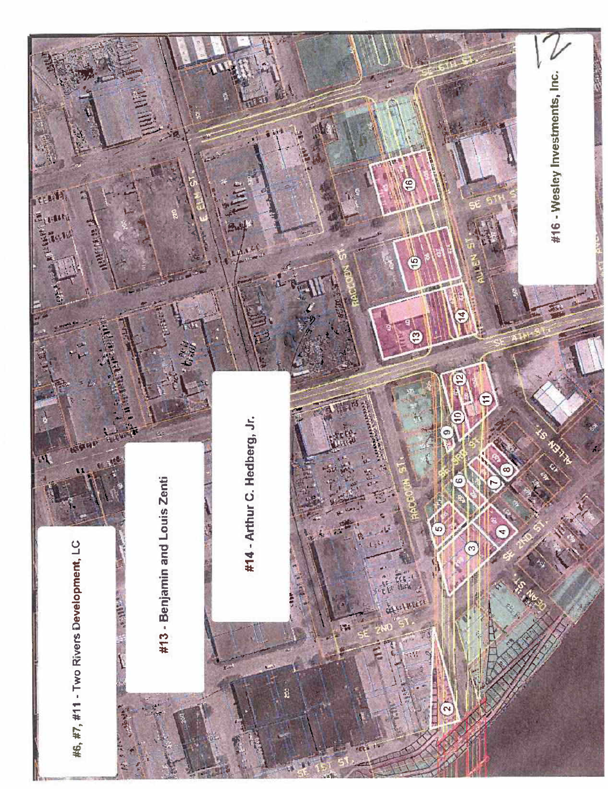